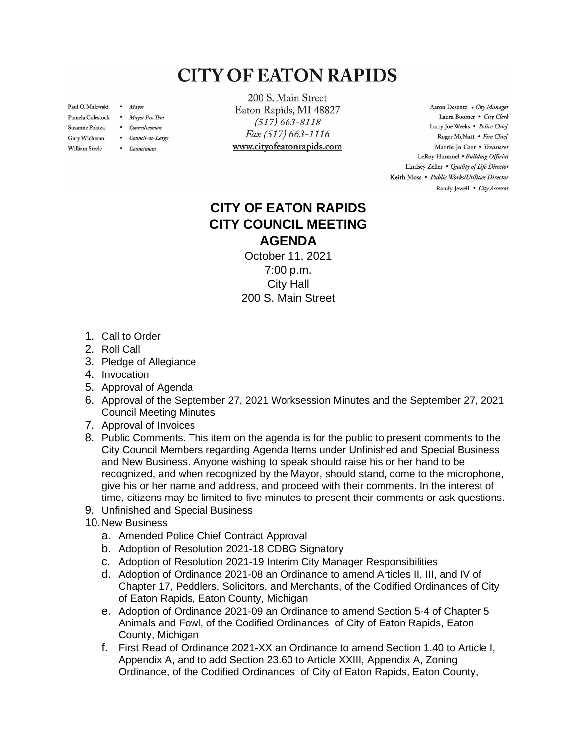## **CITY OF EATON RAPIDS**

Paul O. Malewski . Mayor

Gary Wichman

**William Steele** 

- Pamela Colestock . Mayor Pro Tem
- Suzanne Politza . Councilwoman
	- Council-at-Large
	- Councilman

200 S. Main Street Eaton Rapids, MI 48827  $(517) 663 - 8118$ Fax (517) 663-1116 www.cityofeatonrapids.com

Aaron Desentz . City Manager Laura Boomer . City Clerk Larry Joe Weeks . Police Chief Roger McNutt · Fire Chief Marrie Jo Carr . Treasurer LeRoy Hummel . Building Official Lindsey Zeller . Quality of Life Director Keith Moss · Public Works/Utilities Director Randy Jewell . City Assessor

## **CITY OF EATON RAPIDS CITY COUNCIL MEETING AGENDA**

October 11, 2021 7:00 p.m. City Hall 200 S. Main Street

- 1. Call to Order
- 2. Roll Call
- 3. Pledge of Allegiance
- 4. Invocation
- 5. Approval of Agenda
- 6. Approval of the September 27, 2021 Worksession Minutes and the September 27, 2021 Council Meeting Minutes
- 7. Approval of Invoices
- 8. Public Comments. This item on the agenda is for the public to present comments to the City Council Members regarding Agenda Items under Unfinished and Special Business and New Business. Anyone wishing to speak should raise his or her hand to be recognized, and when recognized by the Mayor, should stand, come to the microphone, give his or her name and address, and proceed with their comments. In the interest of time, citizens may be limited to five minutes to present their comments or ask questions.
- 9. Unfinished and Special Business
- 10.New Business
	- a. Amended Police Chief Contract Approval
	- b. Adoption of Resolution 2021-18 CDBG Signatory
	- c. Adoption of Resolution 2021-19 Interim City Manager Responsibilities
	- d. Adoption of Ordinance 2021-08 an Ordinance to amend Articles II, III, and IV of Chapter 17, Peddlers, Solicitors, and Merchants, of the Codified Ordinances of City of Eaton Rapids, Eaton County, Michigan
	- e. Adoption of Ordinance 2021-09 an Ordinance to amend Section 5-4 of Chapter 5 Animals and Fowl, of the Codified Ordinances of City of Eaton Rapids, Eaton County, Michigan
	- f. First Read of Ordinance 2021-XX an Ordinance to amend Section 1.40 to Article I, Appendix A, and to add Section 23.60 to Article XXIII, Appendix A, Zoning Ordinance, of the Codified Ordinances of City of Eaton Rapids, Eaton County,